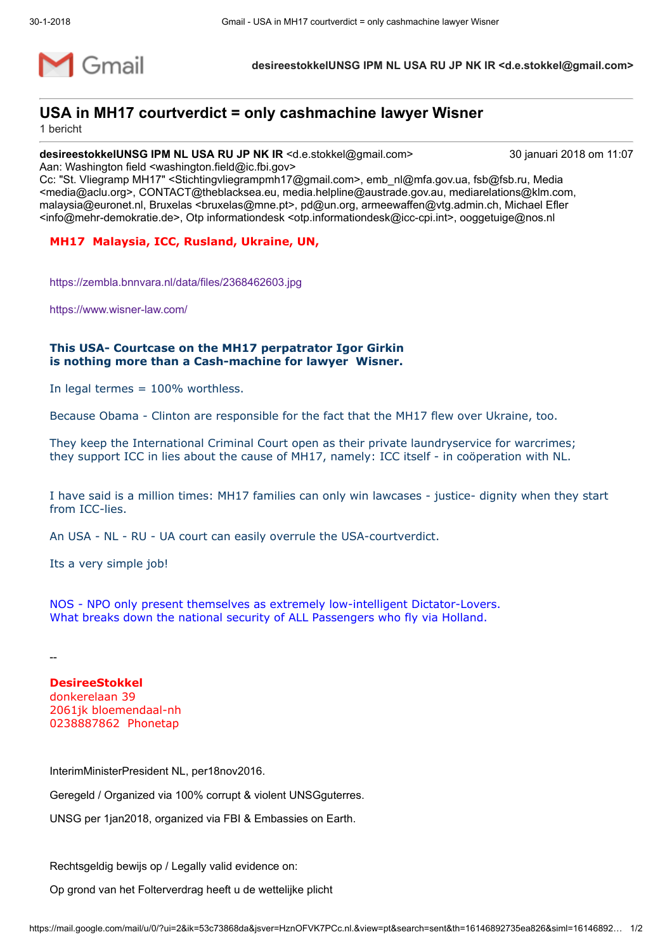

desireestokkelUNSG IPM NL USA RU JP NK IR <d.e.stokkel@gmail.com>

## USA in MH17 courtverdict = only cashmachine lawyer Wisner

1 bericht

desireestokkelUNSG IPM NL USA RU JP NK IR <d.e.stokkel@gmail.com> 30 januari 2018 om 11:07 Aan: Washington field <washington.field@ic.fbi.gov>

Cc: "St. Vliegramp MH17" <Stichtingvliegrampmh17@gmail.com>, emb\_nl@mfa.gov.ua, fsb@fsb.ru, Media <media@aclu.org>, CONTACT@theblacksea.eu, media.helpline@austrade.gov.au, mediarelations@klm.com, malaysia@euronet.nl, Bruxelas <bruxelas@mne.pt>, pd@un.org, armeewaffen@vtg.admin.ch, Michael Efler <info@mehr-demokratie.de>, Otp informationdesk <otp.informationdesk@icc-cpi.int>, ooggetuige@nos.nl

## MH17 Malaysia, ICC, Rusland, Ukraine, UN,

<https://zembla.bnnvara.nl/data/files/2368462603.jpg>

<https://www.wisner-law.com/>

## This USA- Courtcase on the MH17 perpatrator Igor Girkin is nothing more than a Cash-machine for lawyer Wisner.

In legal termes = 100% worthless.

Because Obama - Clinton are responsible for the fact that the MH17 flew over Ukraine, too.

They keep the International Criminal Court open as their private laundryservice for warcrimes; they support ICC in lies about the cause of MH17, namely: ICC itself - in coöperation with NL.

I have said is a million times: MH17 families can only win lawcases - justice- dignity when they start from ICC-lies.

An USA - NL - RU - UA court can easily overrule the USA-courtverdict.

Its a very simple job!

NOS - NPO only present themselves as extremely low-intelligent Dictator-Lovers. What breaks down the national security of ALL Passengers who fly via Holland.

--

DesireeStokkel donkerelaan 39 2061jk bloemendaal-nh 0238887862 Phonetap

InterimMinisterPresident NL, per18nov2016.

Geregeld / Organized via 100% corrupt & violent UNSGguterres.

UNSG per 1jan2018, organized via FBI & Embassies on Earth.

Rechtsgeldig bewijs op / Legally valid evidence on:

Op grond van het Folterverdrag heeft u de wettelijke plicht